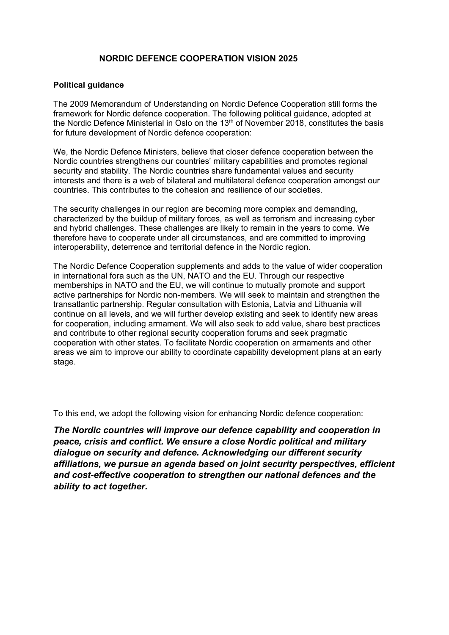## **NORDIC DEFENCE COOPERATION VISION 2025**

## **Political guidance**

The 2009 Memorandum of Understanding on Nordic Defence Cooperation still forms the framework for Nordic defence cooperation. The following political guidance, adopted at the Nordic Defence Ministerial in Oslo on the 13th of November 2018, constitutes the basis for future development of Nordic defence cooperation:

We, the Nordic Defence Ministers, believe that closer defence cooperation between the Nordic countries strengthens our countries' military capabilities and promotes regional security and stability. The Nordic countries share fundamental values and security interests and there is a web of bilateral and multilateral defence cooperation amongst our countries. This contributes to the cohesion and resilience of our societies.

The security challenges in our region are becoming more complex and demanding, characterized by the buildup of military forces, as well as terrorism and increasing cyber and hybrid challenges. These challenges are likely to remain in the years to come. We therefore have to cooperate under all circumstances, and are committed to improving interoperability, deterrence and territorial defence in the Nordic region.

The Nordic Defence Cooperation supplements and adds to the value of wider cooperation in international fora such as the UN, NATO and the EU. Through our respective memberships in NATO and the EU, we will continue to mutually promote and support active partnerships for Nordic non-members. We will seek to maintain and strengthen the transatlantic partnership. Regular consultation with Estonia, Latvia and Lithuania will continue on all levels, and we will further develop existing and seek to identify new areas for cooperation, including armament. We will also seek to add value, share best practices and contribute to other regional security cooperation forums and seek pragmatic cooperation with other states. To facilitate Nordic cooperation on armaments and other areas we aim to improve our ability to coordinate capability development plans at an early stage.

To this end, we adopt the following vision for enhancing Nordic defence cooperation:

*The Nordic countries will improve our defence capability and cooperation in peace, crisis and conflict. We ensure a close Nordic political and military dialogue on security and defence. Acknowledging our different security affiliations, we pursue an agenda based on joint security perspectives, efficient and cost-effective cooperation to strengthen our national defences and the ability to act together.*